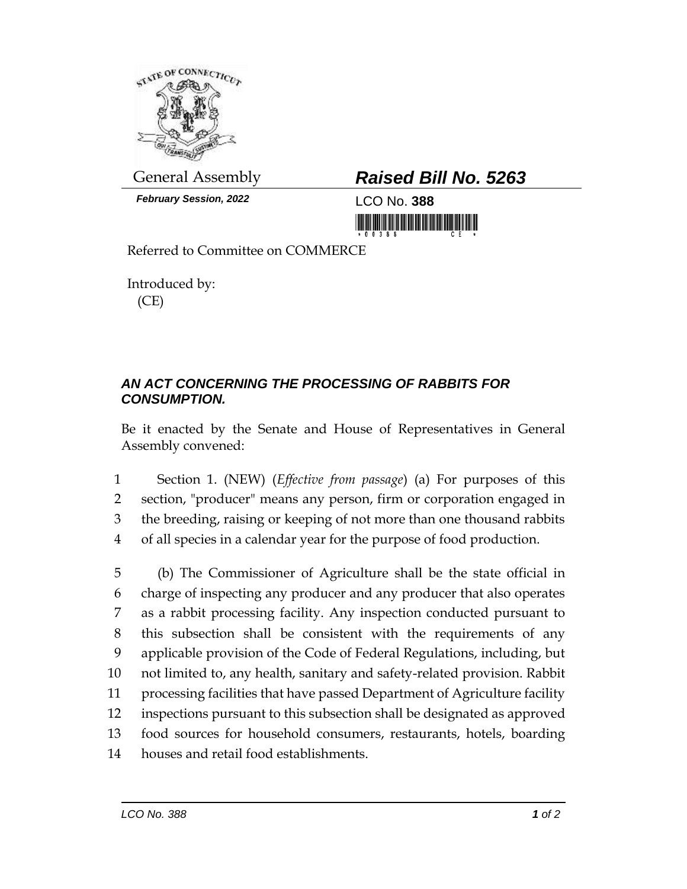

*February Session, 2022* LCO No. **388**

## General Assembly *Raised Bill No. 5263*

<u> 1999 - Andrew Maria Maria Maria Maria Maria Maria Maria Maria Maria Maria Maria Maria Maria Maria Maria Mari</u>

Referred to Committee on COMMERCE

Introduced by: (CE)

## *AN ACT CONCERNING THE PROCESSING OF RABBITS FOR CONSUMPTION.*

Be it enacted by the Senate and House of Representatives in General Assembly convened:

 Section 1. (NEW) (*Effective from passage*) (a) For purposes of this section, "producer" means any person, firm or corporation engaged in the breeding, raising or keeping of not more than one thousand rabbits of all species in a calendar year for the purpose of food production.

 (b) The Commissioner of Agriculture shall be the state official in charge of inspecting any producer and any producer that also operates as a rabbit processing facility. Any inspection conducted pursuant to this subsection shall be consistent with the requirements of any applicable provision of the Code of Federal Regulations, including, but not limited to, any health, sanitary and safety-related provision. Rabbit processing facilities that have passed Department of Agriculture facility inspections pursuant to this subsection shall be designated as approved food sources for household consumers, restaurants, hotels, boarding houses and retail food establishments.